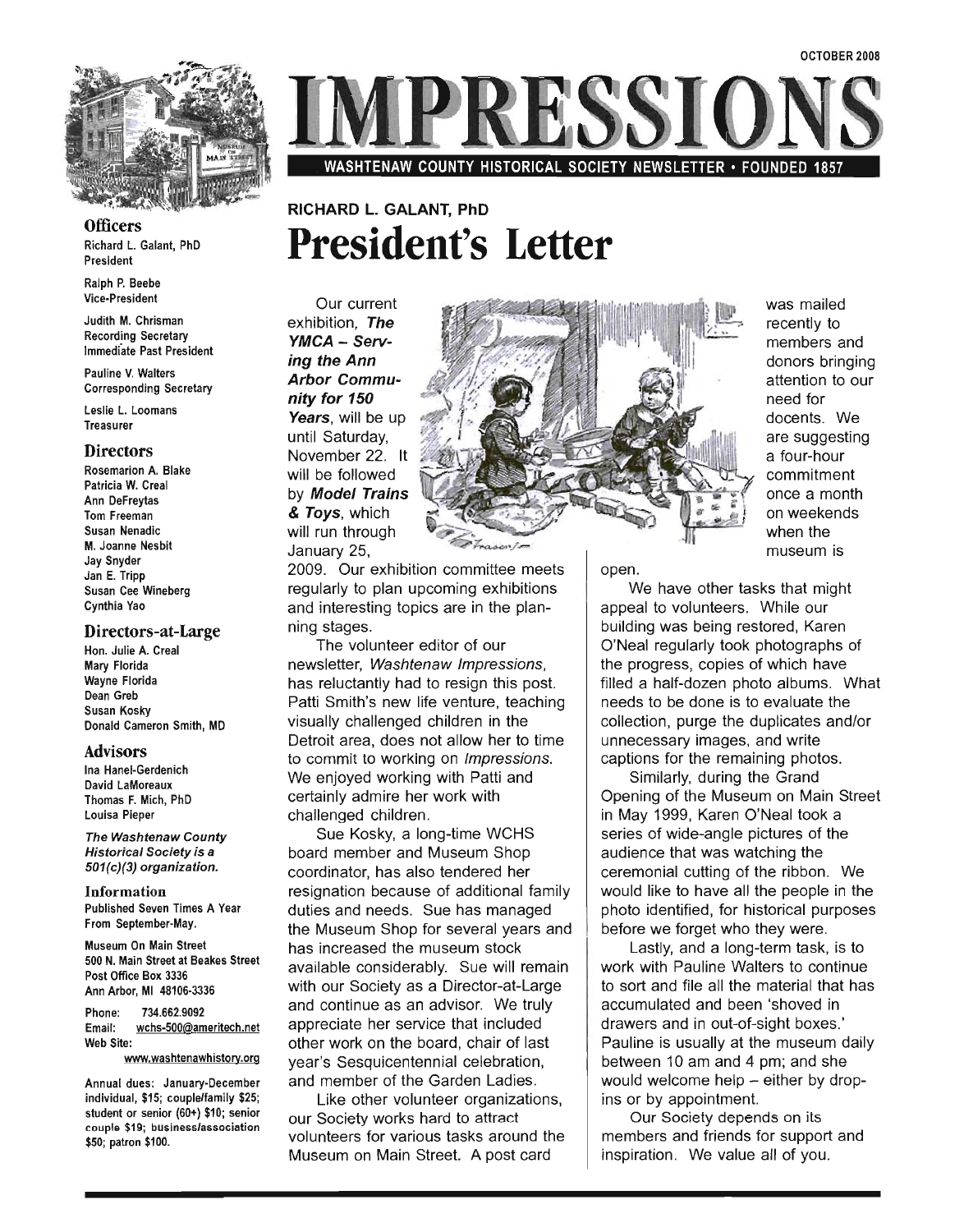

**Officers** Richard L. Galant, PhD

para L. ب

Ralph P. Beebe ipn P. Beepe

anth M. Chrisman Recording Secretary<br>Immediate Past President

uline V. Walters

Leslie L. Loomans sile L. Loo

#### **Directors**

 $R_{\text{reco}}$ semarion A. Bla<mark>k</mark> Patricia W. Creal Ann DeFreytas Tom Freeman Susan Nenadic M. Joanne Nesbit Jay Snyder Jan E. Tripp Susan Cee Wineberg<br>Cynthia Yao

#### Directors-at-Large  $\mathbf{u}$  a.  $\mathbf{u}$

Hon. Julie A. Creal Mary Florida Wayne Florida Dean Greb Susan Kosky<br>Donald Cameron Smith, MD

#### Advisors

 $\frac{1}{2}$ i Hanel-Gerdenich David LaMoreaux Thomas F. Mich, PhD<br>Louisa Pieper

The Washtenaw County ie Washtenaw County Historical Society is a<br>501(c)(3) organization.

Information Published Seven Times A Seven Times A Seven Times A Seven Times A Seven Times A Seven Times A Seven Times A Se  $p$  is near Seven Times  $P$ Museum On Main Street

 $s$ eum On main Street at Beakes Street at Beakes Street at Beakes Street at Beakes Street at Beakes Street and Street at  $\sim$ 500 N. Main Street at Beakes Street Post Office Box 3336<br>Ann Arbor, MI 48106-3336

 $\frac{1}{2}$ one: 734.662.9092 Email: wchs-500@ameritech.net<br>Web Site:

nual dues: January-December individual, \$15; couple/family \$25; student or senior (60+) \$10; senior couple \$19; business/association<br>\$50; patron \$100.

SST

WASHTENAW COUNTY HISTORICAL SOCIETY NEWSLETTER· FOUNDED 1857

# RICHARD L. GALANT, PhD **President's Letter**

Our current exhibition, The Theorem is the Theorem in the Theorem in the Theorem in the Theorem is the Theorem in the The<br>The Theorem is the Theorem in the Theorem in the Theorem is the Theorem is the Theorem is the Theorem is the T WAGA - SERV-YMCA - Serv-<br>ing the Ann g ure Arm<br>.t.m. Communi nity for 150  $\mathbf{y}$  for type <del>untia</del>, will be up until Saturday, November 22. It<br>will be followed  $\mathbb{R}$   $\mathbb{R}$   $\mathbb{R}$   $\mathbb{R}$   $\mathbb{R}$   $\mathbb{R}$   $\mathbb{R}$   $\mathbb{R}$   $\mathbb{R}$   $\mathbb{R}$   $\mathbb{R}$   $\mathbb{R}$   $\mathbb{R}$   $\mathbb{R}$   $\mathbb{R}$   $\mathbb{R}$   $\mathbb{R}$   $\mathbb{R}$   $\mathbb{R}$   $\mathbb{R}$   $\mathbb{R}$   $\mathbb{R}$   $\mathbb{R}$   $\mathbb{R}$   $\mathbb{$  $T$  moder frams & Toys, which will run through<br>January 25,

2009. Our exhibition committee meets on the meets of the meets of the meets of the meets of the meets of the m<br>The meets of the meets of the meets of the meets of the meets of the meets of the meets of the meets of the me regular communities included upcommunities in the plan up of the plan up of the plan up of the plan up of the s regularly to plan upcoming exhibitions and interesting topics are in the plan-<br>ning stages.

The volunteer editor of our newsletter, Washington<br>The Washtenburgh Impressions, Washington has reluctantly had to resign this post. has reluctantly had to resign this post. Patti Smith's new life venture, teaching visually challenged children in the Detroit area, does not allow her to time to commit to working on Impressions. We enjoyed working with Patti and certainly admire her work with<br>challenged children. ngea crinaren.<br>Waana waa waxaa lo

 $\frac{1}{2}$  board member and  $\frac{1}{2}$  such that  $\frac{1}{2}$  shows  $\frac{1}{2}$  shows  $\frac{1}{2}$  shows  $\frac{1}{2}$  shows  $\frac{1}{2}$  shows  $\frac{1}{2}$  shows  $\frac{1}{2}$  shows  $\frac{1}{2}$  shows  $\frac{1}{2}$  shows  $\frac{1}{2}$  shows  $\frac{1}{2}$  show board member and Museum Shop coordinator, has also tendered her resignation because of additional family duties and needs. Sue has managed the Museum Shop for several years and<br>has increased the museum stock  $\frac{15}{100}$  and  $\frac{11}{100}$  remains to will remain substitution  $\frac{11}{100}$  remains to will remain substitution  $\frac{1}{100}$  $m$  and Die Considerably. Sue will remain with our Society as a Director-at-Large and continue as an advisor. We truly appreciate her service that included other work on the board, chair of last year's Sesquicentennial celebration, and member of the Garden Ladies.

Like other volunteer organizations, our Society works hard to attract volunteers for various tasks around the<br>Museum on Main Street. A post card



was mailed recently to  $\frac{1}{2}$  $\frac{d}{dx}$ donors bringing attention to our<br>need for docentes. Website the Second Second Second Second Second Second Second Second Second Second Second Second Second Second Second Second Second Second Second Second Second Second Second Second Second Second Second Second Seco  $\frac{1}{2}$ are suggesting<br>a four-hour commitment once a month  $\frac{1}{2}$ on weekends<br>when the museum is

open.

We have other tasks that might appeal to volunteers that in the view of the control of the view of the view of the view of the view of the vie building was being was being the contract of the contract of the contract of the contract of the contract of the contract of the contract of the contract of the contract of the contract of the contract of the contract of t  $\sum_{i=1}^n$  was being restored, Karen  $\sum_{i=1}^n$ O'Neal regularly took photographs of the progress, copies of which have filled a half-dozen photo albums. What needs to be done is to evaluate the  $\frac{1}{2}$ collection, pure the duplicates and  $\frac{1}{2}$  $m$ ecuon, purge the duplicates and  $m$ unnecessary images, and write captions for the remaining photos.

Similarly, during the Grand Opening of the Museum on Main Street in May 1999, Karen O'Neal took a series of wide-angle pictures of the audience that was watching the ceremonial cutting of the ribbon. We would like to have all the people in the photo identified, for historical purposes before we forget who they were.

Lastly, and a long-term task, is to work with Pauline Walters to continue to sort and file all the material that has accumulated and been 'shoved in drawers and in out-of-sight boxes.' Pauline is usually at the museum daily between 10 am and 4 pm; and she would welcome help  $-$  either by dropins or by appointment.<br>Our Society depends on its

**Dures ociety depends on its** empers and menus for support all of your control of you.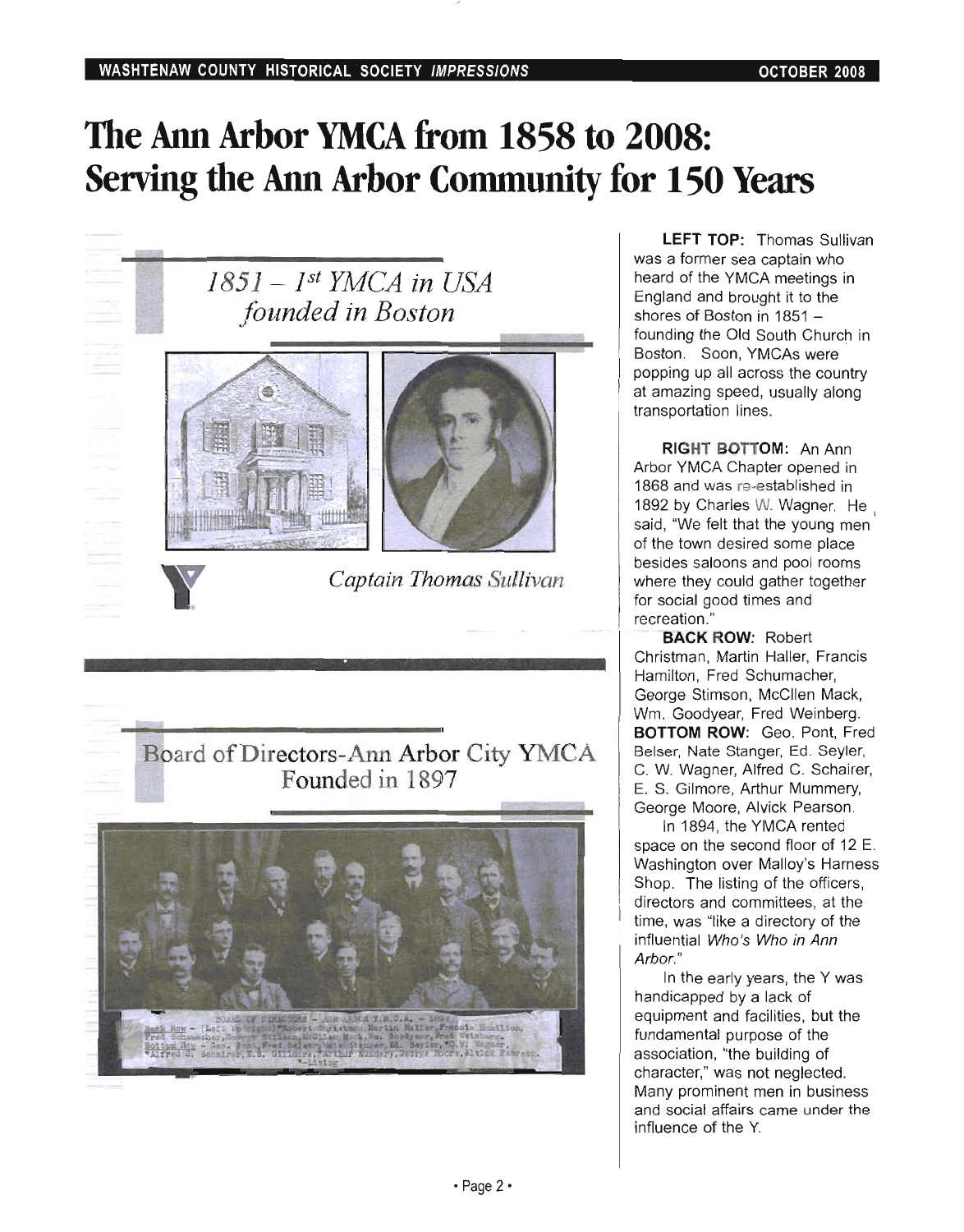# **The Ann Arbor YMCA from 1858 to 2008: Serving the Ann Arbor Community for 150 Years**



LEFT TOP: Thomas Sullivan **LEFT TOP:** Thomas Sulliva was a former sea captain who heard of the YMCA meetings in England and brought it to the shores of Boston in  $1851$ founding the Old South Church in Boston. Soon, YMCAs were popping up all across the country at amazing speed, usually along<br>transportation lines.

RIGHT BOTTOM: An Ann **RIGHT BUTTUM:** AN ANN Arbor YMCA Chapter opened in 1868 and was re-established in 1892 by Charles W. Wagner. He said, "We felt that the young men of the town desired some place besides saloons and pool rooms where they could gather together for social good times and<br>recreation." ation.<br>Robert Robert Robert Robert

BACK ROW, RODER Christman, Martin Haller, Francis Hamilton, Fred Schumacher, George Stimson, McCllen Mack, Wm. Goodyear, Fred Weinberg. BOTTOM ROW: Geo. Pont, Fred. Belser, Nate Stanger, Ed. Seyler, C. W. Wagner, Alfred C. Schairer, E. S. Gilmore, Arthur Mummery, George Moore, Alvick Pearson.

In 1894, the YMCA rented space on the second floor of 12 E. Washington over Malloy's Harness Shop. The listing of the officers, directors and committees, at the time, was "like a directory of the influential Who's Who in Ann<br>Arbor." In the early years, the Y was

in the early years, the Y handicapped by a lack of equipment and facilities, but the fundamental purpose of the association, "the building of character," was not neglected. Many prominent men in business and social affairs came under the influence of the Y.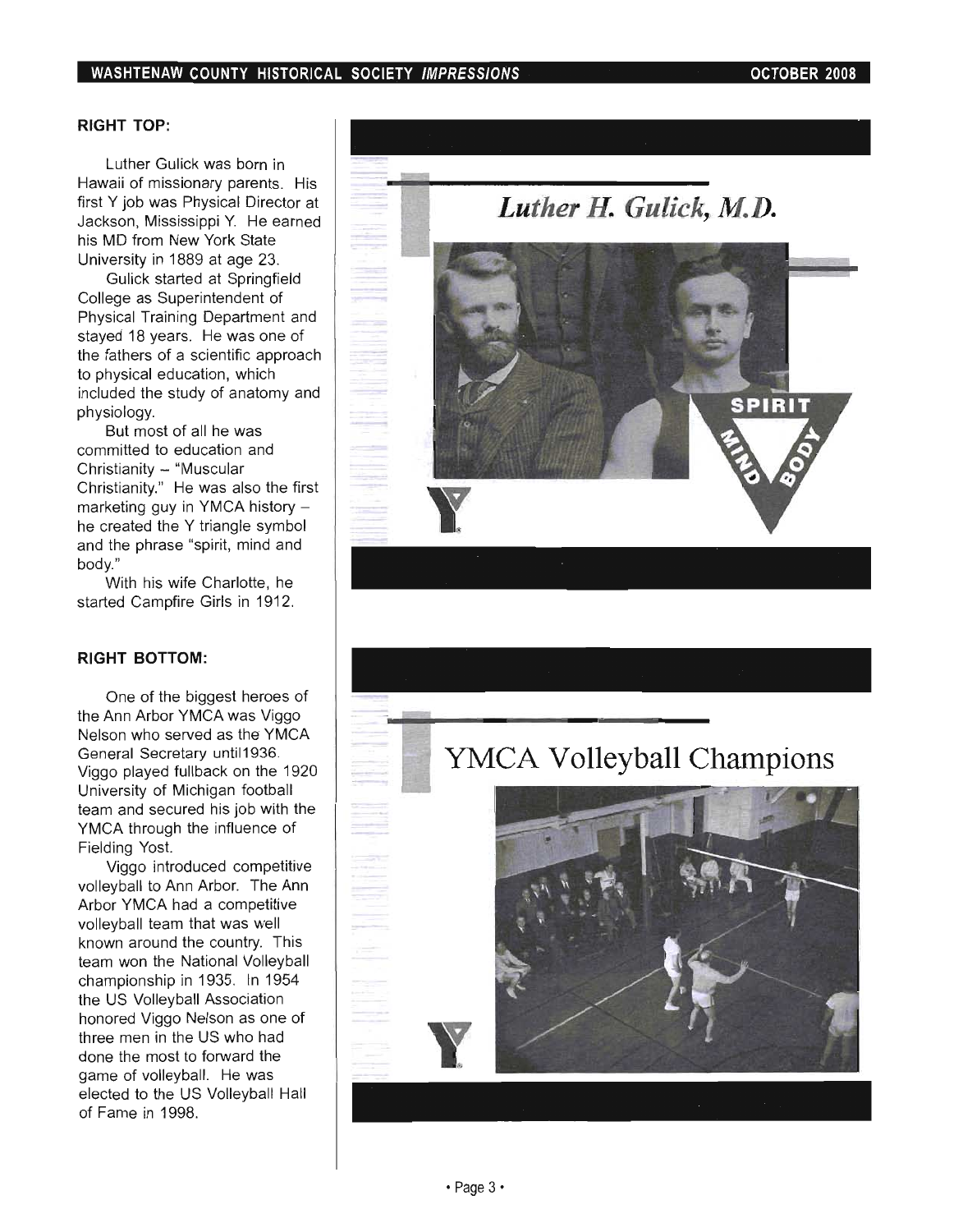### RIGHT TOP:

Luther Gulick was born in Hawaii of missionary parents. His first Y job was Physical Director at Jackson, Mississippi Y. He earned his MD from New York State University in 1889 at age 23.

Gulick started at Springfield College as Superintendent of Physical Training Department and stayed 18 years. He was one of the fathers of a scientific approach to physical education, which included the study of anatomy and physiology.

But most of all he was committed to education and Christianity - "Muscular Christianity." He was also the first marketing guy in YMCA history he created the Y triangle symbol and the phrase "spirit, mind and body."

With his wife Charlotte, he started Campfire Girls in 1912.

#### RIGHT BOTTOM:

One of the biggest heroes of the Ann Arbor YMCA was Viggo Nelson who served as the YMCA General Secretary unti11936. Viggo played fullback on the 1920 University of Michigan football team and secured his job with the YMCA through the influence of Fielding Yost.

Viggo introduced competitive volleyball to Ann Arbor. The Ann Arbor YMCA had a competitive volleyball team that was well known around the country. This team won the National Volleyball championship in 1935. In 1954 the US Volleyball Association honored Viggo Nelson as one of three men in the US who had done the most to forward the game of volleyball. He was elected to the US Volleyball Hall of Fame in 1998.



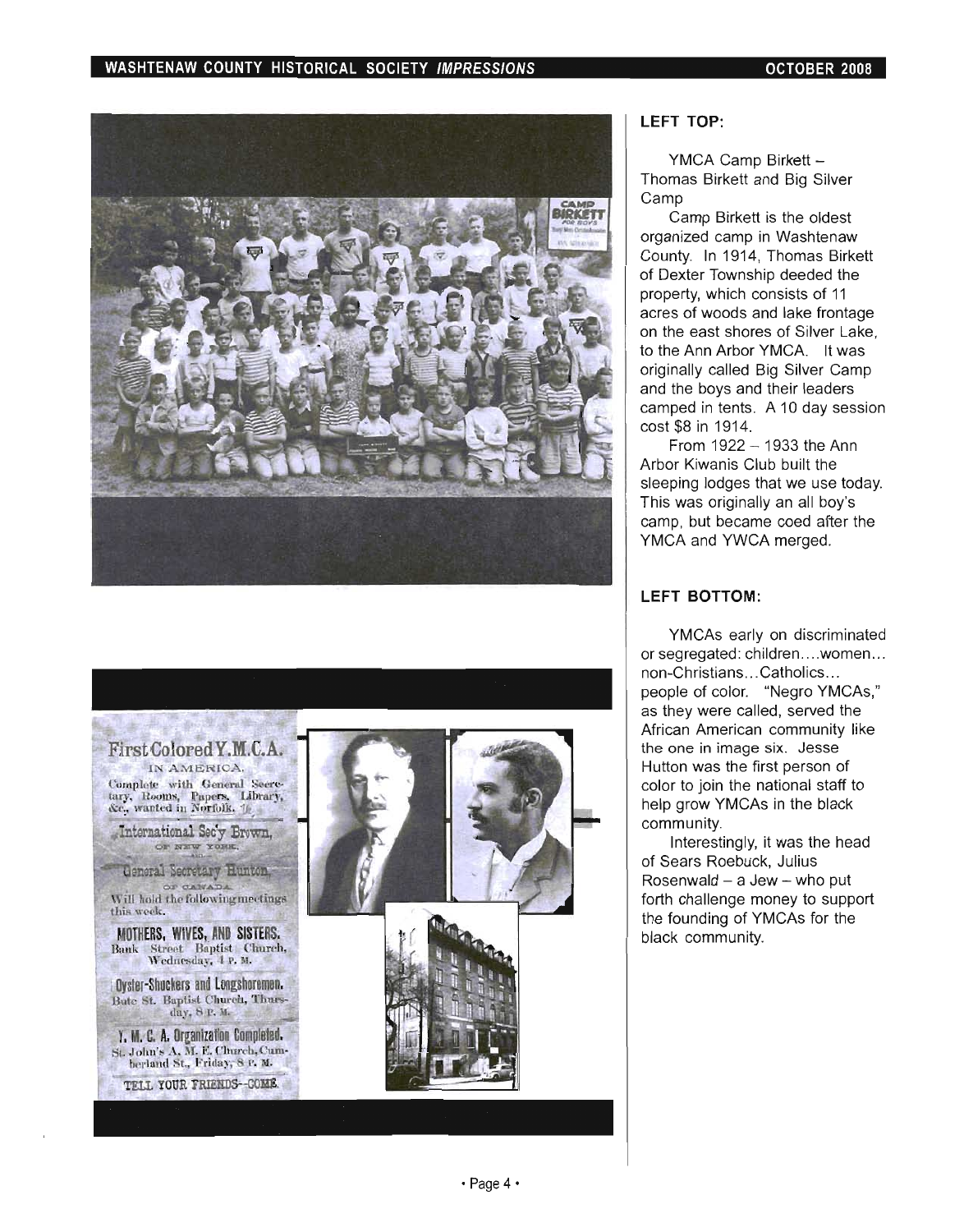



### **LEFT** TOP:

YMCA Camp Birkett - $T$ MCA Camp Birkett  $\sim$ iomas Camp Birkett is the oldest

Camp binkelt is the oldest organized camp in Washtenaw County. In 1914, Thomas Birkett of Dexter Township deeded the property, which consists of 11 acres of woods and lake frontage on the east shores of Silver Lake, to the Ann Arbor YMCA. It was originally called Big Silver Camp and the boys and their leaders camped in tents. A 10 day session cost \$8 in 1914. From 1922 - 1933 the Ann

 $P$ From  $1922 - 1933$  the Ann Arbor Kiwanis Club built the sleeping lodges that we use today. This was originally an all boy's camp, but became coed after the<br>YMCA and YWCA merged.

### **LEFT** BOTTOM:

 $Y$  , we have a set of discriminated by  $\mathcal{A}$ r MCAS early on discriminated or segregated: children....women... non-Christians... Catholics... people of color. "Negro YMCAs," as they were called, served the African American community like the one in image six. Jesse Hutton was the first person of color to join the national staff to help grow YMCAs in the black<br>community. unity, it was the head of the head of the head of the head of the head of the head of the head of the head of

merestingly, it was the of Sears Roebuck, Julius Rosenwald  $-$  a Jew  $-$  who put forth challenge money to support the founding of YMCAs for the black community.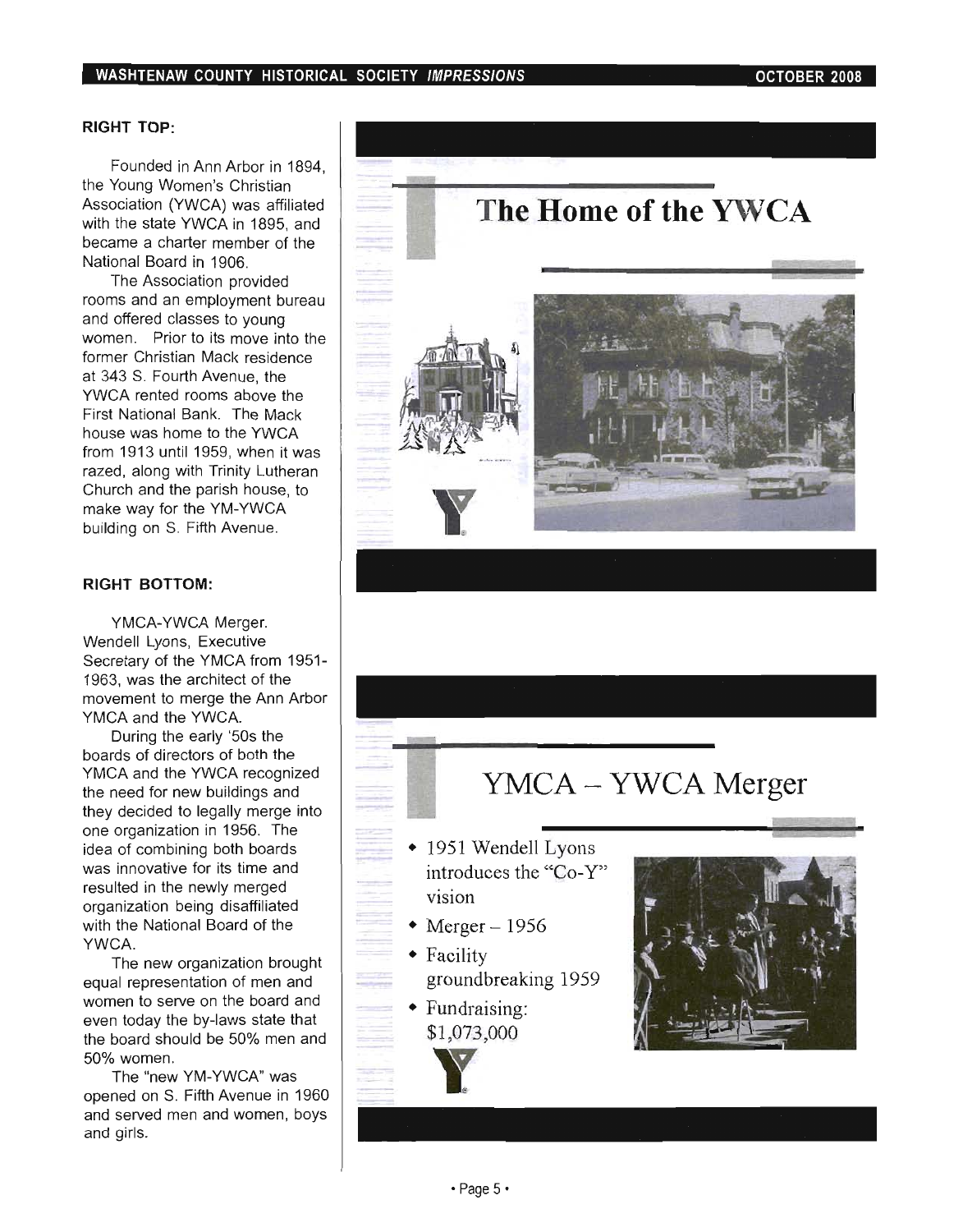## RIGHT TOP:

Founded in Ann Arbor in 1894, the Young Women's Christian  $\epsilon$  roung women's Unistian  $\frac{3500}{400}$  the state  $\frac{1800}{4000}$  in 1895, and the state  $\frac{1}{200}$ with the state YWCA in 1895, and<br>became a charter member of the National Board in 1906.

The Association provided rooms and an employment bureau and offered classes to young women. Prior to its move into the former Christian Mack residence at 343 S. Fourth Avenue, the YWCA rented rooms above the First National Bank. The Mack house was home to the YWCA from 1913 until 1959, when it was  $\frac{1}{2}$ razed, with Trinity Lutheran  $\frac{1}{2}$ zeu, alung with Thinty Lutheran Church and the parish house, to make way for the YM-YWCA<br>building on S. Fifth Avenue.

#### RIGHT BOTTOM:

YMCA-YWCA Merger. Wendell Lyons, Executive Secretary of the YMCA from 1951- 1963, was the architect of the  $\sigma$ , was the architect of the  $\sim$ Wellent to merge the *i* 

YMCA and the YWCA.<br>During the early '50s the boards of directors of both the yards of directors of bountine<br>MOA  $WCA$  and the TWCA recognized they decided to legally merge into ey decided to legally inerge line one organization in 1956. The<br>idea of combining both boards ea or complimity bour boards  $\alpha$  in the newly merged in the new large distribution  $\alpha$ suited in the newly merged yanization beng disamilated with the National Board of the<br>YWCA. The new organization brought

rne new organization prought equal representation of men and women to serve on the board and even today the by-laws state that the board should be 50% men and<br>50% women.

The "new YM-YWCA" was opened on S. Fifth Avenue in 1960 belied on  $\sigma$ . Finit Avenue in 1900 ia servea



# YMCA - YWCA Merger

- 1951 Wendell Lyons introduces the "Co-Y" vision
- Merger  $-1956$
- Facility groundbreaking 1959
- Fundraising: \$1 ,073,000



~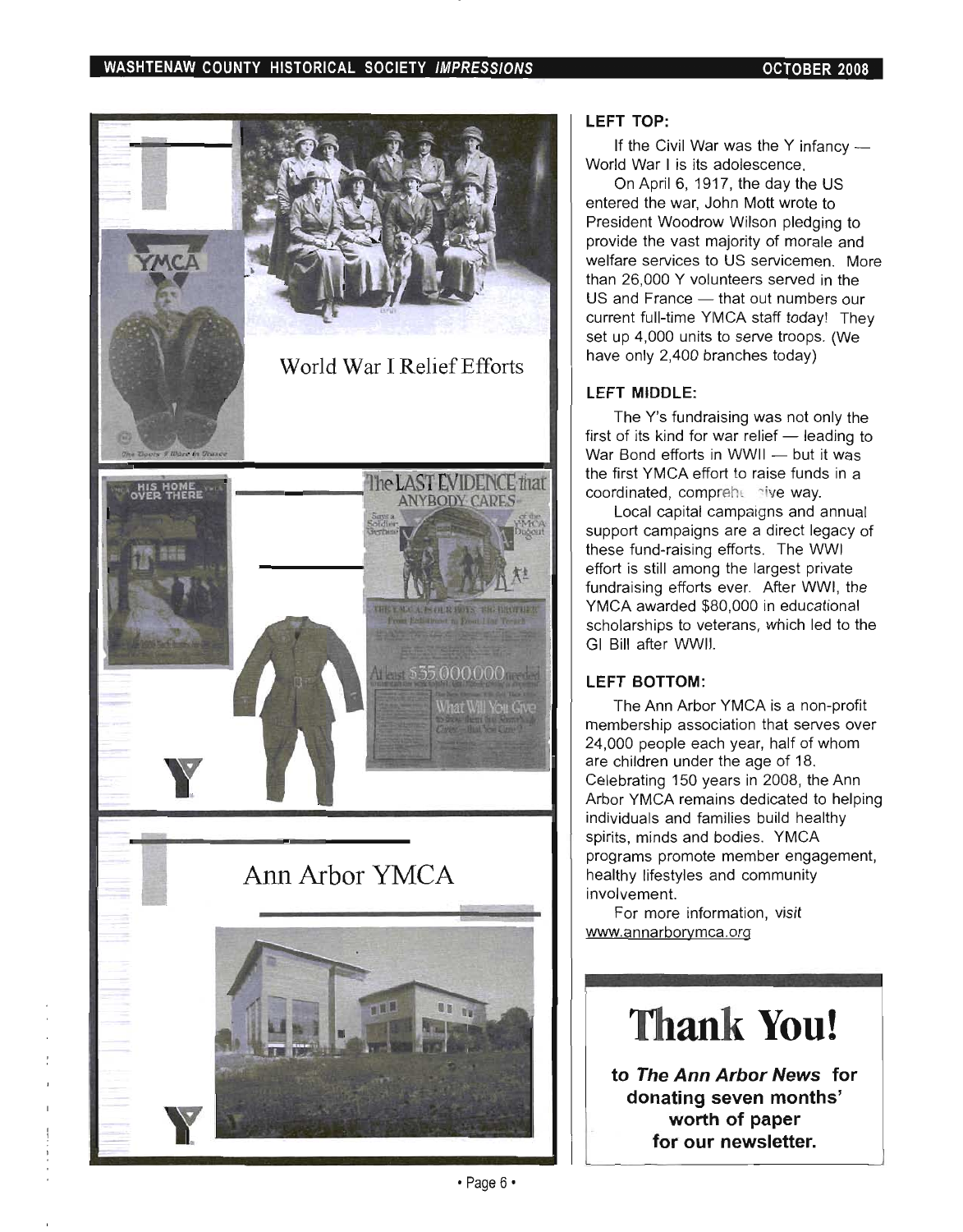## WASHTENAW COUNTY HISTORICAL SOCIETY IMPRESSIONS **CONTRACT CONTRACT OCTOBER 2008**



### **LEFT TOP:**

If the Civil War was the Y infancy  $-$ World War I is its adolescence.

On April 6, 1917, the day the US entered the war, John Mott wrote to President Woodrow Wilson pledging to provide the vast majority of morale and welfare services to US servicemen. More than 26,000 Y volunteers served in the US and France - that out numbers our current full-time YMCA staff today! They set up 4,000 units to serve troops. (We have only 2,400 branches today)

## **LEFT MIDDLE:**

The Y's fundraising was not only the  $f_{\text{ref}}$  is furnalishing was flot only the  $W$  Bond efforts is  $MOM$   $\rightarrow$  leading to War Bond efforts in WWII - but it was<br>the first YMCA effort to raise funds in a coordinated, comprehensive way.

Local capital campaigns and annual support campaigns are a direct legacy of these fund-raising efforts. The WWI effort is still among the largest private fundraising efforts ever. After WWI, the YMCA awarded \$80,000 in educational scholarships to veterans, which led to the GI Bill after WWII.

## **LEFT BOTTOM:**

The Ann Arbor YMCA is a non-profit membership association that serves over  $24,000$  perimeter each year of whom  $\frac{1}{2}$  and  $\frac{1}{2}$  whom  $\frac{1}{2}$  and  $\frac{1}{2}$  whose  $\frac{1}{2}$ 4,000 people each year, nail of w are children under the age of 18,<br>Celebrating 150 years in 2008, the Ann Arbor YMCA remains dedicated to helping individuals and families build healthy spirits, minds and bodies. YMCA  $p_{\text{max}}$ , minus and poules. Throw healthy lifestyles and community healthy lifestyles and community<br>involvement. For more information, visit

www.annarborymca.org

# **Thank You!**

**to The Ann Arbor News for donating seven months' worth of paper**  for our newsletter.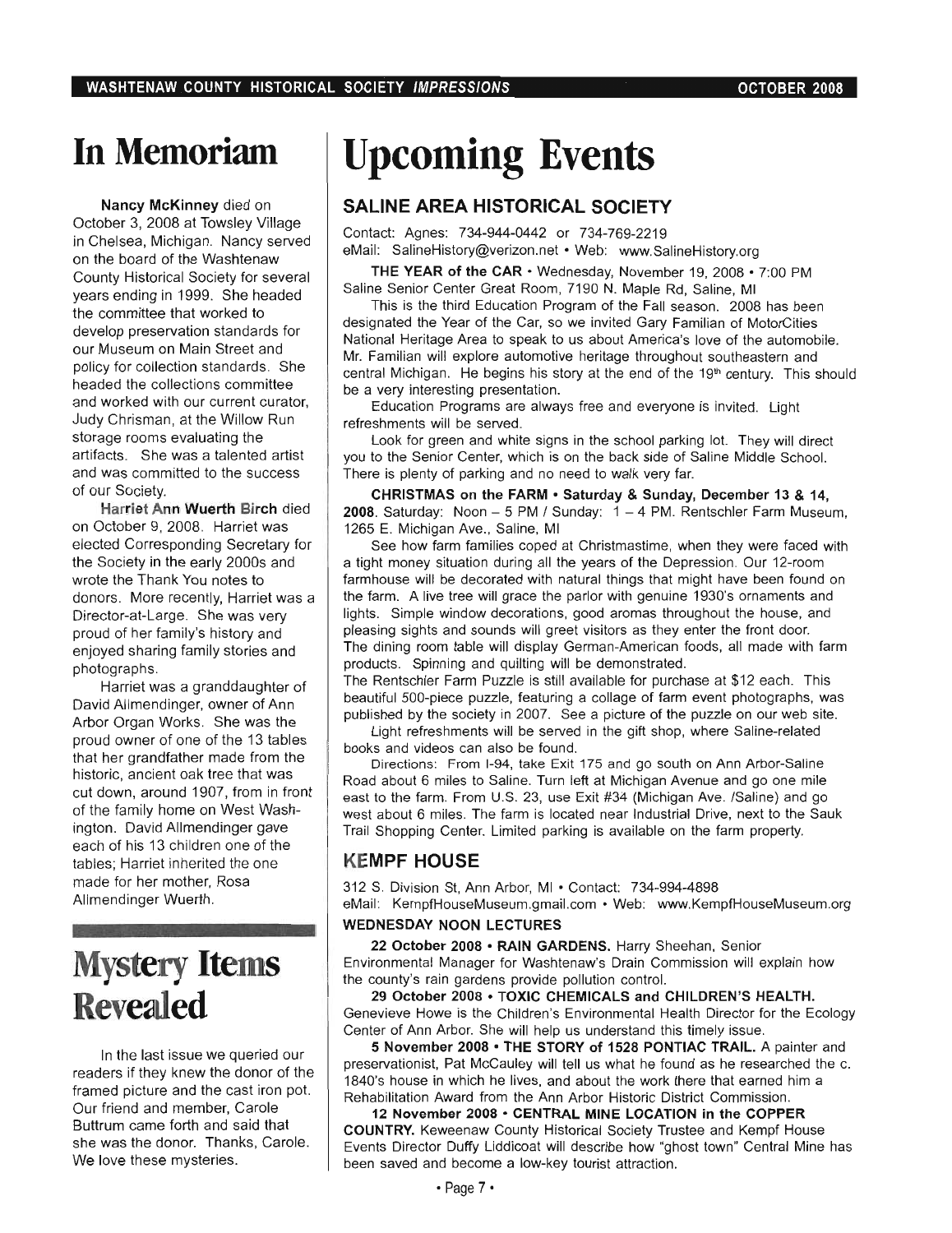# **In Memoriam**

Nancy McKinney died on October 3, 2008 at Towsley Village in Chelsea, Michigan. Nancy served on the board of the Washtenaw County Historical Society for several years ending in 1999. She headed the committee that worked to develop preservation standards for our Museum on Main Street and policy for collection standards. She headed the collections committee and worked with our current curator, Judy Chrisman, at the Willow Run storage rooms evaluating the artifacts. She was a talented artist and was committed to the success of our Society.

Harriet Ann Wuerth Birch died on October 9, 2008. Harriet was elected Corresponding Secretary for the Society in the early 2000s and wrote the Thank You notes to donors. More recently, Harriet was a Director-at-Large. She was very proud of her family's history and enjoyed sharing family stories and photographs.

Harriet was a granddaughter of David Allmendinger, owner of Ann Arbor Organ Works. She was the proud owner of one of the 13 tables that her grandfather made from the historic, ancient oak tree that was cut down, around 1907, from in front of the family home on West Washington. David Allmendinger gave each of his 13 children one of the tables; Harriet inherited the one made for her mother, Rosa Allmendinger Wuerth.

# **Mystery Items Revealed**

In the last issue we queried our readers if they knew the donor of the framed picture and the cast iron pot. Our friend and member, Carole Buttrum came forth and said that she was the donor. Thanks, Carole. We love these mysteries.

# **Upcoming Events**

# **SALINE AREA HISTORICAL SOCIETY**

Contact: Agnes: 734-944-0442 or 734-769-2219 eMail: SalineHistory@verizon.net • Web: www.SalineHistory.org

THE YEAR of the CAR· Wednesday, November 19, 2008 • 7:00 PM Saline Senior Center Great Room, 7190 N. Maple Rd, Saline, MI

This is the third Education Program of the Fall season. 2008 has been designated the Year of the Car, so we invited Gary Familian of MotorCities National Heritage Area to speak to us about America's love of the automobile. Mr. Familian will explore automotive heritage throughout southeastern and central Michigan. He begins his story at the end of the 19<sup>th</sup> century. This should be a very interesting presentation.

Education Programs are always free and everyone is invited. Light refreshments will be served.

Look for green and white signs in the school parking lot. They will direct you to the Senior Center, which is on the back side of Saline Middle School. There is plenty of parking and no need to walk very far.

CHRISTMAS on the FARM · Saturday & Sunday, December 13 & 14, 2008. Saturday: Noon  $-5$  PM / Sunday:  $1 - 4$  PM. Rentschler Farm Museum, 1265 E. Michigan Ave., Saline, MI

See how farm families coped at Christmastime, when they were faced with a tight money situation during all the years of the Depression. Our 12-room farmhouse will be decorated with natural things that might have been found on the farm. A live tree will grace the parlor with genuine 1930's ornaments and lights. Simple window decorations, good aromas throughout the house, and pleasing sights and sounds will greet visitors as they enter the front door. The dining room table will display German-American foods, all made with farm products. Spinning and quilting will be demonstrated.

The Rentschler Farm Puzzle is still available for purchase at \$12 each. This beautiful 500-piece puzzle, featuring a collage of farm event photographs, was published by the society in 2007. See a picture of the puzzle on our web site.

Light refreshments will be served in the gift shop, where Saline-related books and videos can also be found.

Directions: From 1-94, take Exit 175 and go south on Ann Arbor-Saline Road about 6 miles to Saline. Turn left at Michigan Avenue and go one mile east to the farm. From U.S. 23, use Exit #34 (Michigan Ave. /Saline) and go west about 6 miles. The farm is located near Industrial Drive, next to the Sauk Trail Shopping Center. Limited parking is available on the farm property.

## **KEMPF HOUSE**

312 S. Division St, Ann Arbor, MI • Contact: 734-994-4898 eMail: KempfHouseMuseum.gmail.com · Web: www.KempfHouseMuseum.org

#### WEDNESDAY NOON LECTURES

22 October 2008 • RAIN GARDENS. Harry Sheehan, Senior Environmental Manager for Washtenaw's Drain Commission will explain how the county's rain gardens provide pollution control.

29 October 2008 · TOXIC CHEMICALS and CHILDREN'S HEALTH. Genevieve Howe is the Children's Environmental Health Director for the Ecology Center of Ann Arbor. She will help us understand this timely issue.

S November 2008· THE STORY of 1528 PONTIAC TRAIL. A painter and preservationist, Pat McCauley will tell us what he found as he researched the c. 1840's house in which he lives, and about the work there that earned him a Rehabilitation Award from the Ann Arbor Historic District Commission.

12 November 2008 • CENTRAL MINE LOCATION in the COPPER COUNTRY. Keweenaw County Historical Society Trustee and Kempf House Events Director Duffy Liddicoat will describe how "ghost town" Central Mine has been saved and become a low-key tourist attraction.